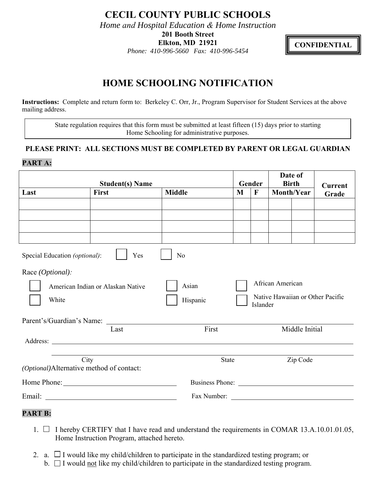**CECIL COUNTY PUBLIC SCHOOLS** 

*Home and Hospital Education & Home Instruction* 

**201 Booth Street** 

**Elkton, MD 21921**

*Phone: 410-996-5660 Fax: 410-996-5454* 

**CONFIDENTIAL** 

## **HOME SCHOOLING NOTIFICATION**

**Instructions:** Complete and return form to: Berkeley C. Orr, Jr., Program Supervisor for Student Services at the above mailing address.

State regulation requires that this form must be submitted at least fifteen (15) days prior to starting Home Schooling for administrative purposes.

## **PLEASE PRINT: ALL SECTIONS MUST BE COMPLETED BY PARENT OR LEGAL GUARDIAN PART A:**

| <b>Student(s) Name</b>                                                                                                                                                   |       |               | Gender |                  | Date of<br><b>Birth</b> |  | <b>Current</b>                   |
|--------------------------------------------------------------------------------------------------------------------------------------------------------------------------|-------|---------------|--------|------------------|-------------------------|--|----------------------------------|
| Last                                                                                                                                                                     | First | <b>Middle</b> | M      | $\mathbf{F}$     | Month/Year              |  | Grade                            |
|                                                                                                                                                                          |       |               |        |                  |                         |  |                                  |
|                                                                                                                                                                          |       |               |        |                  |                         |  |                                  |
|                                                                                                                                                                          |       |               |        |                  |                         |  |                                  |
|                                                                                                                                                                          |       |               |        |                  |                         |  |                                  |
| Yes<br>No<br>Special Education (optional):                                                                                                                               |       |               |        |                  |                         |  |                                  |
| Race (Optional):                                                                                                                                                         |       |               |        |                  |                         |  |                                  |
| American Indian or Alaskan Native                                                                                                                                        |       | Asian         |        | African American |                         |  |                                  |
| White                                                                                                                                                                    |       | Hispanic      |        | Islander         |                         |  | Native Hawaiian or Other Pacific |
|                                                                                                                                                                          |       |               |        |                  |                         |  |                                  |
| Last                                                                                                                                                                     |       | First         |        |                  | Middle Initial          |  |                                  |
|                                                                                                                                                                          |       |               |        |                  |                         |  |                                  |
| <u> 1989 - Johann Barn, mars eta bainar eta industrial eta bainar eta baina eta baina eta baina eta baina eta ba</u><br>City<br>(Optional)Alternative method of contact: |       | <b>State</b>  |        |                  | Zip Code                |  |                                  |
| Home Phone: New York Changes and Separate Section 2014                                                                                                                   |       |               |        |                  |                         |  |                                  |
|                                                                                                                                                                          |       |               |        |                  |                         |  |                                  |

## **PART B:**

- 1.  $\Box$  I hereby CERTIFY that I have read and understand the requirements in COMAR 13.A.10.01.01.05, Home Instruction Program, attached hereto.
- 2. a.  $\Box$  I would like my child/children to participate in the standardized testing program; or
	- b.  $\Box$  I would not like my child/children to participate in the standardized testing program.